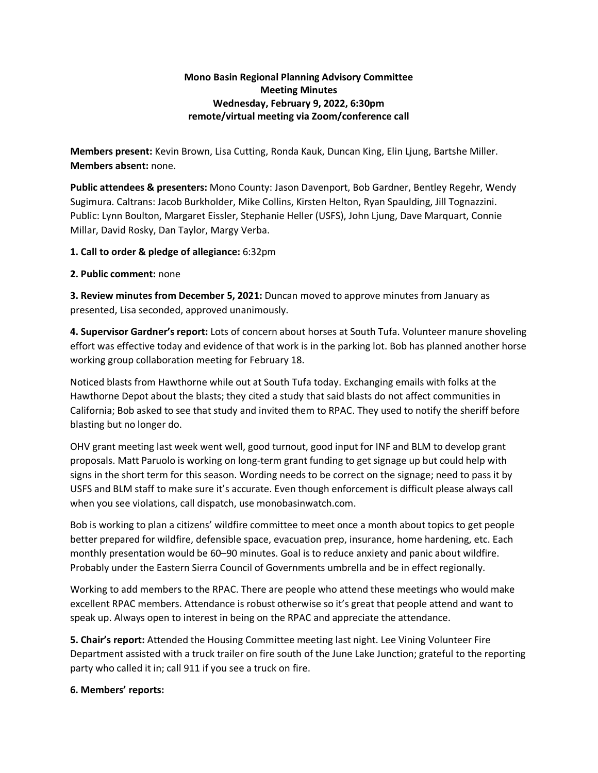## **Mono Basin Regional Planning Advisory Committee Meeting Minutes Wednesday, February 9, 2022, 6:30pm remote/virtual meeting via Zoom/conference call**

**Members present:** Kevin Brown, Lisa Cutting, Ronda Kauk, Duncan King, Elin Ljung, Bartshe Miller. **Members absent:** none.

**Public attendees & presenters:** Mono County: Jason Davenport, Bob Gardner, Bentley Regehr, Wendy Sugimura. Caltrans: Jacob Burkholder, Mike Collins, Kirsten Helton, Ryan Spaulding, Jill Tognazzini. Public: Lynn Boulton, Margaret Eissler, Stephanie Heller (USFS), John Ljung, Dave Marquart, Connie Millar, David Rosky, Dan Taylor, Margy Verba.

## **1. Call to order & pledge of allegiance:** 6:32pm

## **2. Public comment:** none

**3. Review minutes from December 5, 2021:** Duncan moved to approve minutes from January as presented, Lisa seconded, approved unanimously.

**4. Supervisor Gardner's report:** Lots of concern about horses at South Tufa. Volunteer manure shoveling effort was effective today and evidence of that work is in the parking lot. Bob has planned another horse working group collaboration meeting for February 18.

Noticed blasts from Hawthorne while out at South Tufa today. Exchanging emails with folks at the Hawthorne Depot about the blasts; they cited a study that said blasts do not affect communities in California; Bob asked to see that study and invited them to RPAC. They used to notify the sheriff before blasting but no longer do.

OHV grant meeting last week went well, good turnout, good input for INF and BLM to develop grant proposals. Matt Paruolo is working on long-term grant funding to get signage up but could help with signs in the short term for this season. Wording needs to be correct on the signage; need to pass it by USFS and BLM staff to make sure it's accurate. Even though enforcement is difficult please always call when you see violations, call dispatch, use monobasinwatch.com.

Bob is working to plan a citizens' wildfire committee to meet once a month about topics to get people better prepared for wildfire, defensible space, evacuation prep, insurance, home hardening, etc. Each monthly presentation would be 60–90 minutes. Goal is to reduce anxiety and panic about wildfire. Probably under the Eastern Sierra Council of Governments umbrella and be in effect regionally.

Working to add members to the RPAC. There are people who attend these meetings who would make excellent RPAC members. Attendance is robust otherwise so it's great that people attend and want to speak up. Always open to interest in being on the RPAC and appreciate the attendance.

**5. Chair's report:** Attended the Housing Committee meeting last night. Lee Vining Volunteer Fire Department assisted with a truck trailer on fire south of the June Lake Junction; grateful to the reporting party who called it in; call 911 if you see a truck on fire.

## **6. Members' reports:**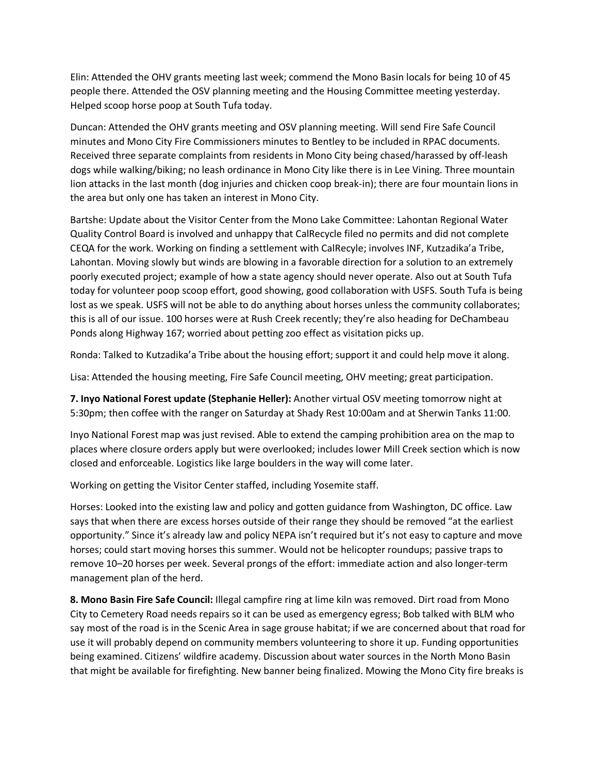Elin: Attended the OHV grants meeting last week; commend the Mono Basin locals for being 10 of 45 people there. Attended the OSV planning meeting and the Housing Committee meeting yesterday. Helped scoop horse poop at South Tufa today.

Duncan: Attended the OHV grants meeting and OSV planning meeting. Will send Fire Safe Council minutes and Mono City Fire Commissioners minutes to Bentley to be included in RPAC documents. Received three separate complaints from residents in Mono City being chased/harassed by off-leash dogs while walking/biking; no leash ordinance in Mono City like there is in Lee Vining. Three mountain lion attacks in the last month (dog injuries and chicken coop break-in); there are four mountain lions in the area but only one has taken an interest in Mono City.

Bartshe: Update about the Visitor Center from the Mono Lake Committee: Lahontan Regional Water Quality Control Board is involved and unhappy that CalRecycle filed no permits and did not complete CEQA for the work. Working on finding a settlement with CalRecyle; involves INF, Kutzadika'a Tribe, Lahontan. Moving slowly but winds are blowing in a favorable direction for a solution to an extremely poorly executed project; example of how a state agency should never operate. Also out at South Tufa today for volunteer poop scoop effort, good showing, good collaboration with USFS. South Tufa is being lost as we speak. USFS will not be able to do anything about horses unless the community collaborates; this is all of our issue. 100 horses were at Rush Creek recently; they're also heading for DeChambeau Ponds along Highway 167; worried about petting zoo effect as visitation picks up.

Ronda: Talked to Kutzadika'a Tribe about the housing effort; support it and could help move it along.

Lisa: Attended the housing meeting, Fire Safe Council meeting, OHV meeting; great participation.

**7. Inyo National Forest update (Stephanie Heller):** Another virtual OSV meeting tomorrow night at 5:30pm; then coffee with the ranger on Saturday at Shady Rest 10:00am and at Sherwin Tanks 11:00.

Inyo National Forest map was just revised. Able to extend the camping prohibition area on the map to places where closure orders apply but were overlooked; includes lower Mill Creek section which is now closed and enforceable. Logistics like large boulders in the way will come later.

Working on getting the Visitor Center staffed, including Yosemite staff.

Horses: Looked into the existing law and policy and gotten guidance from Washington, DC office. Law says that when there are excess horses outside of their range they should be removed "at the earliest opportunity." Since it's already law and policy NEPA isn't required but it's not easy to capture and move horses; could start moving horses this summer. Would not be helicopter roundups; passive traps to remove 10–20 horses per week. Several prongs of the effort: immediate action and also longer-term management plan of the herd.

**8. Mono Basin Fire Safe Council:** Illegal campfire ring at lime kiln was removed. Dirt road from Mono City to Cemetery Road needs repairs so it can be used as emergency egress; Bob talked with BLM who say most of the road is in the Scenic Area in sage grouse habitat; if we are concerned about that road for use it will probably depend on community members volunteering to shore it up. Funding opportunities being examined. Citizens' wildfire academy. Discussion about water sources in the North Mono Basin that might be available for firefighting. New banner being finalized. Mowing the Mono City fire breaks is